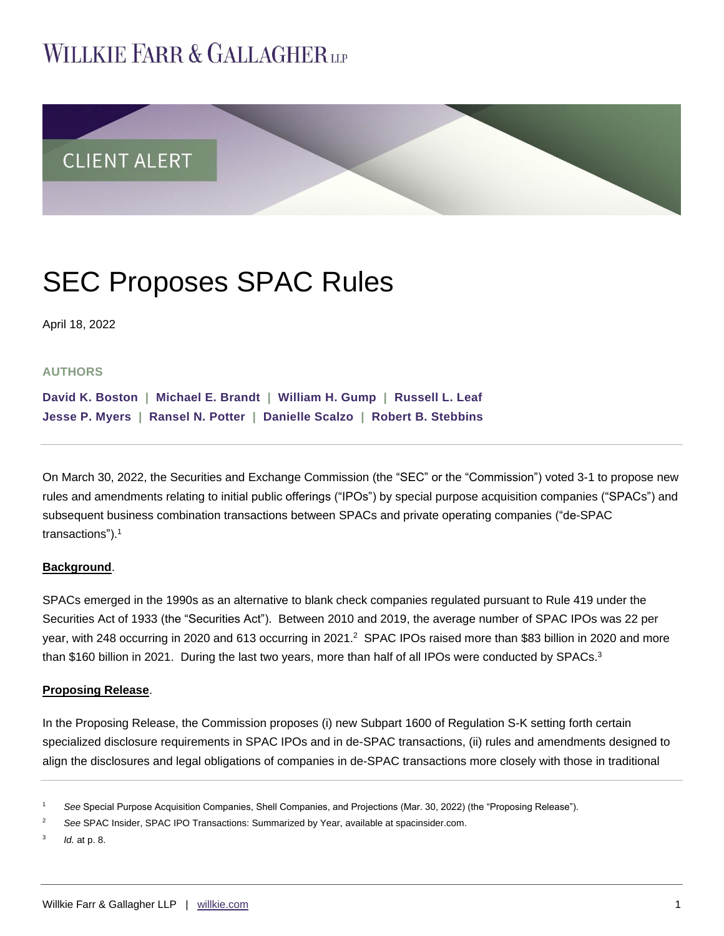# **WILLKIE FARR & GALLAGHERUP**



# SEC Proposes SPAC Rules

April 18, 2022

## **AUTHORS**

**[David K. Boston](https://www.willkie.com/professionals/b/boston-david-k) | [Michael E. Brandt](https://www.willkie.com/professionals/b/brandt-michael-e) | [William H. Gump](https://www.willkie.com/professionals/g/gump-william-h) | [Russell](https://www.willkie.com/professionals/l/leaf-russell-l) L. Leaf Jesse P. [Myers](https://www.willkie.com/professionals/m/myers-jesse) | [Ransel N. Potter](https://www.willkie.com/professionals/p/potter-ransel) | [Danielle Scalzo](https://www.willkie.com/professionals/s/scalzo-danielle) | [Robert B. Stebbins](https://www.willkie.com/professionals/s/stebbins-robert)**

On March 30, 2022, the Securities and Exchange Commission (the "SEC" or the "Commission") voted 3-1 to propose new rules and amendments relating to initial public offerings ("IPOs") by special purpose acquisition companies ("SPACs") and subsequent business combination transactions between SPACs and private operating companies ("de-SPAC transactions").<sup>1</sup>

### **Background**.

SPACs emerged in the 1990s as an alternative to blank check companies regulated pursuant to Rule 419 under the Securities Act of 1933 (the "Securities Act"). Between 2010 and 2019, the average number of SPAC IPOs was 22 per year, with 248 occurring in 2020 and 613 occurring in 2021.<sup>2</sup> SPAC IPOs raised more than \$83 billion in 2020 and more than \$160 billion in 2021. During the last two years, more than half of all IPOs were conducted by SPACs.<sup>3</sup>

### **Proposing Release**.

In the Proposing Release, the Commission proposes (i) new Subpart 1600 of Regulation S-K setting forth certain specialized disclosure requirements in SPAC IPOs and in de-SPAC transactions, (ii) rules and amendments designed to align the disclosures and legal obligations of companies in de-SPAC transactions more closely with those in traditional

3 *Id.* at p. 8.

<sup>1</sup> *See* Special Purpose Acquisition Companies, Shell Companies, and Projections (Mar. 30, 2022) (the "Proposing Release").

<sup>2</sup> *See* SPAC Insider, SPAC IPO Transactions: Summarized by Year, available at spacinsider.com.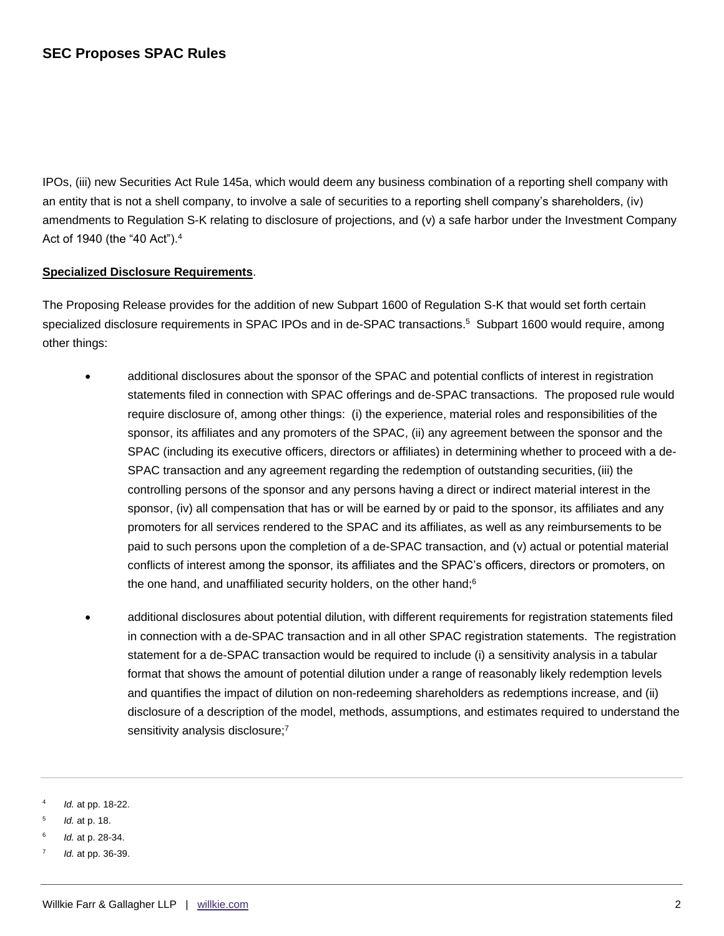IPOs, (iii) new Securities Act Rule 145a, which would deem any business combination of a reporting shell company with an entity that is not a shell company, to involve a sale of securities to a reporting shell company's shareholders, (iv) amendments to Regulation S-K relating to disclosure of projections, and (v) a safe harbor under the Investment Company Act of 1940 (the "40 Act").<sup>4</sup>

## **Specialized Disclosure Requirements**.

The Proposing Release provides for the addition of new Subpart 1600 of Regulation S-K that would set forth certain specialized disclosure requirements in SPAC IPOs and in de-SPAC transactions.<sup>5</sup> Subpart 1600 would require, among other things:

- additional disclosures about the sponsor of the SPAC and potential conflicts of interest in registration statements filed in connection with SPAC offerings and de-SPAC transactions. The proposed rule would require disclosure of, among other things: (i) the experience, material roles and responsibilities of the sponsor, its affiliates and any promoters of the SPAC, (ii) any agreement between the sponsor and the SPAC (including its executive officers, directors or affiliates) in determining whether to proceed with a de-SPAC transaction and any agreement regarding the redemption of outstanding securities, (iii) the controlling persons of the sponsor and any persons having a direct or indirect material interest in the sponsor, (iv) all compensation that has or will be earned by or paid to the sponsor, its affiliates and any promoters for all services rendered to the SPAC and its affiliates, as well as any reimbursements to be paid to such persons upon the completion of a de-SPAC transaction, and (v) actual or potential material conflicts of interest among the sponsor, its affiliates and the SPAC's officers, directors or promoters, on the one hand, and unaffiliated security holders, on the other hand;<sup>6</sup>
- additional disclosures about potential dilution, with different requirements for registration statements filed in connection with a de-SPAC transaction and in all other SPAC registration statements. The registration statement for a de-SPAC transaction would be required to include (i) a sensitivity analysis in a tabular format that shows the amount of potential dilution under a range of reasonably likely redemption levels and quantifies the impact of dilution on non-redeeming shareholders as redemptions increase, and (ii) disclosure of a description of the model, methods, assumptions, and estimates required to understand the sensitivity analysis disclosure;<sup>7</sup>

<sup>4</sup> *Id.* at pp. 18-22.

<sup>5</sup> *Id.* at p. 18.

<sup>6</sup> *Id.* at p. 28-34.

<sup>7</sup> *Id.* at pp. 36-39.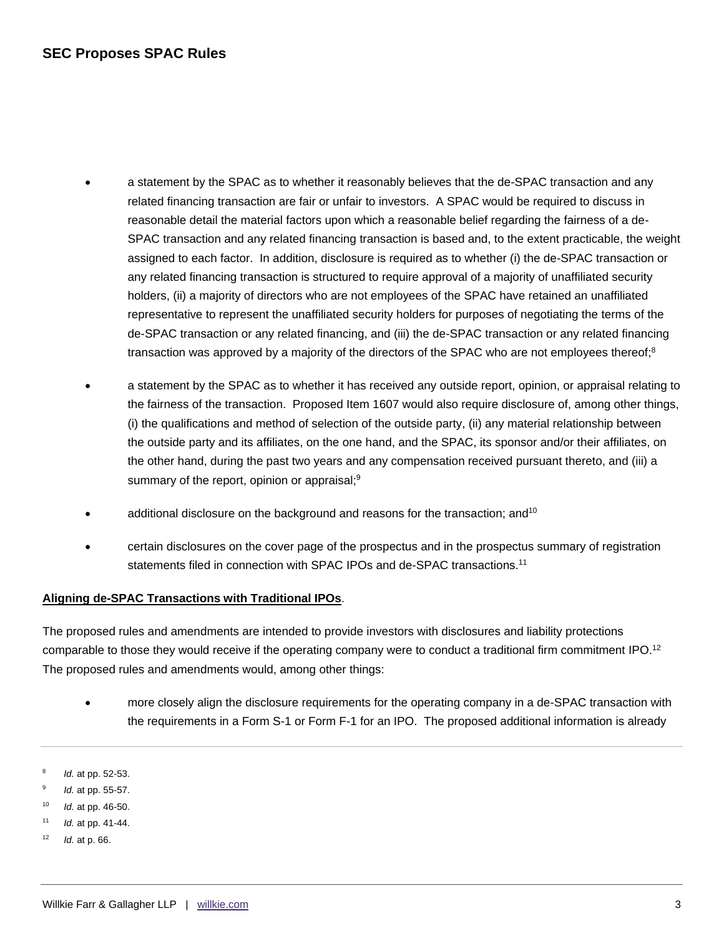- a statement by the SPAC as to whether it reasonably believes that the de-SPAC transaction and any related financing transaction are fair or unfair to investors. A SPAC would be required to discuss in reasonable detail the material factors upon which a reasonable belief regarding the fairness of a de-SPAC transaction and any related financing transaction is based and, to the extent practicable, the weight assigned to each factor. In addition, disclosure is required as to whether (i) the de-SPAC transaction or any related financing transaction is structured to require approval of a majority of unaffiliated security holders, (ii) a majority of directors who are not employees of the SPAC have retained an unaffiliated representative to represent the unaffiliated security holders for purposes of negotiating the terms of the de-SPAC transaction or any related financing, and (iii) the de-SPAC transaction or any related financing transaction was approved by a majority of the directors of the SPAC who are not employees thereof;<sup>8</sup>
- a statement by the SPAC as to whether it has received any outside report, opinion, or appraisal relating to the fairness of the transaction. Proposed Item 1607 would also require disclosure of, among other things, (i) the qualifications and method of selection of the outside party, (ii) any material relationship between the outside party and its affiliates, on the one hand, and the SPAC, its sponsor and/or their affiliates, on the other hand, during the past two years and any compensation received pursuant thereto, and (iii) a summary of the report, opinion or appraisal;<sup>9</sup>
- additional disclosure on the background and reasons for the transaction; and<sup>10</sup>
- certain disclosures on the cover page of the prospectus and in the prospectus summary of registration statements filed in connection with SPAC IPOs and de-SPAC transactions.<sup>11</sup>

## **Aligning de-SPAC Transactions with Traditional IPOs**.

The proposed rules and amendments are intended to provide investors with disclosures and liability protections comparable to those they would receive if the operating company were to conduct a traditional firm commitment IPO.<sup>12</sup> The proposed rules and amendments would, among other things:

- more closely align the disclosure requirements for the operating company in a de-SPAC transaction with the requirements in a Form S-1 or Form F-1 for an IPO. The proposed additional information is already
- 8 *Id.* at pp. 52-53.
- $\alpha$ *Id.* at pp. 55-57.
- <sup>10</sup> *Id.* at pp. 46-50.
- <sup>11</sup> *Id.* at pp. 41-44.
- <sup>12</sup> *Id.* at p. 66.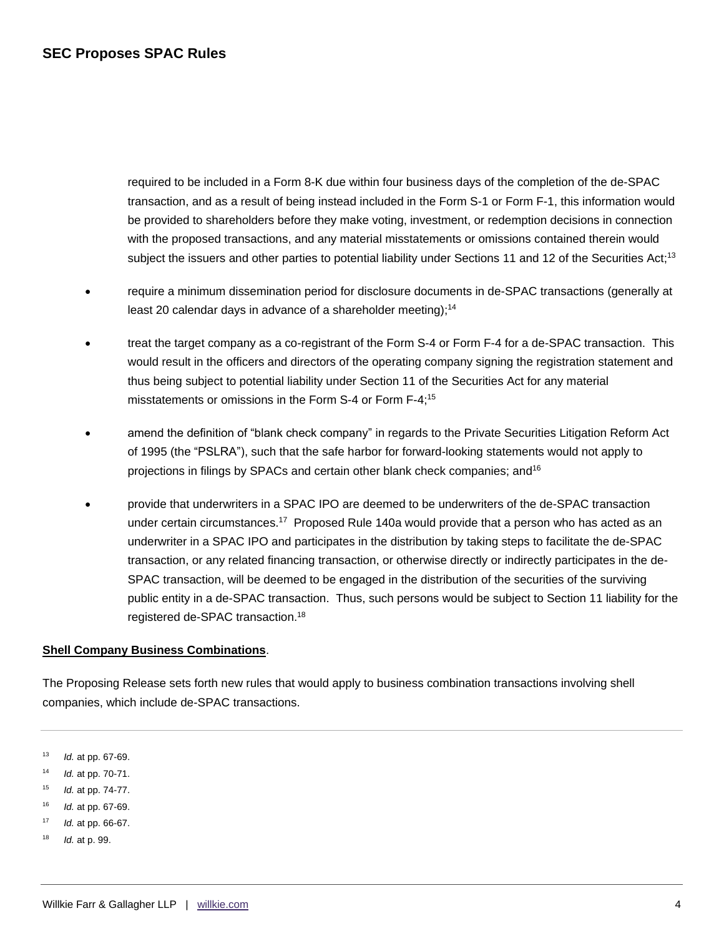required to be included in a Form 8-K due within four business days of the completion of the de-SPAC transaction, and as a result of being instead included in the Form S-1 or Form F-1, this information would be provided to shareholders before they make voting, investment, or redemption decisions in connection with the proposed transactions, and any material misstatements or omissions contained therein would subject the issuers and other parties to potential liability under Sections 11 and 12 of the Securities Act;<sup>13</sup>

- require a minimum dissemination period for disclosure documents in de-SPAC transactions (generally at least 20 calendar days in advance of a shareholder meeting);<sup>14</sup>
- treat the target company as a co-registrant of the Form S-4 or Form F-4 for a de-SPAC transaction. This would result in the officers and directors of the operating company signing the registration statement and thus being subject to potential liability under Section 11 of the Securities Act for any material misstatements or omissions in the Form S-4 or Form F-4;<sup>15</sup>
- amend the definition of "blank check company" in regards to the Private Securities Litigation Reform Act of 1995 (the "PSLRA"), such that the safe harbor for forward-looking statements would not apply to projections in filings by SPACs and certain other blank check companies; and<sup>16</sup>
- provide that underwriters in a SPAC IPO are deemed to be underwriters of the de-SPAC transaction under certain circumstances.<sup>17</sup> Proposed Rule 140a would provide that a person who has acted as an underwriter in a SPAC IPO and participates in the distribution by taking steps to facilitate the de-SPAC transaction, or any related financing transaction, or otherwise directly or indirectly participates in the de-SPAC transaction, will be deemed to be engaged in the distribution of the securities of the surviving public entity in a de-SPAC transaction. Thus, such persons would be subject to Section 11 liability for the registered de-SPAC transaction.<sup>18</sup>

## **Shell Company Business Combinations**.

The Proposing Release sets forth new rules that would apply to business combination transactions involving shell companies, which include de-SPAC transactions.

<sup>13</sup> *Id.* at pp. 67-69.

<sup>14</sup> *Id.* at pp. 70-71.

- <sup>15</sup> *Id.* at pp. 74-77.
- <sup>16</sup> *Id.* at pp. 67-69.
- <sup>17</sup> *Id.* at pp. 66-67.
- <sup>18</sup> *Id.* at p. 99.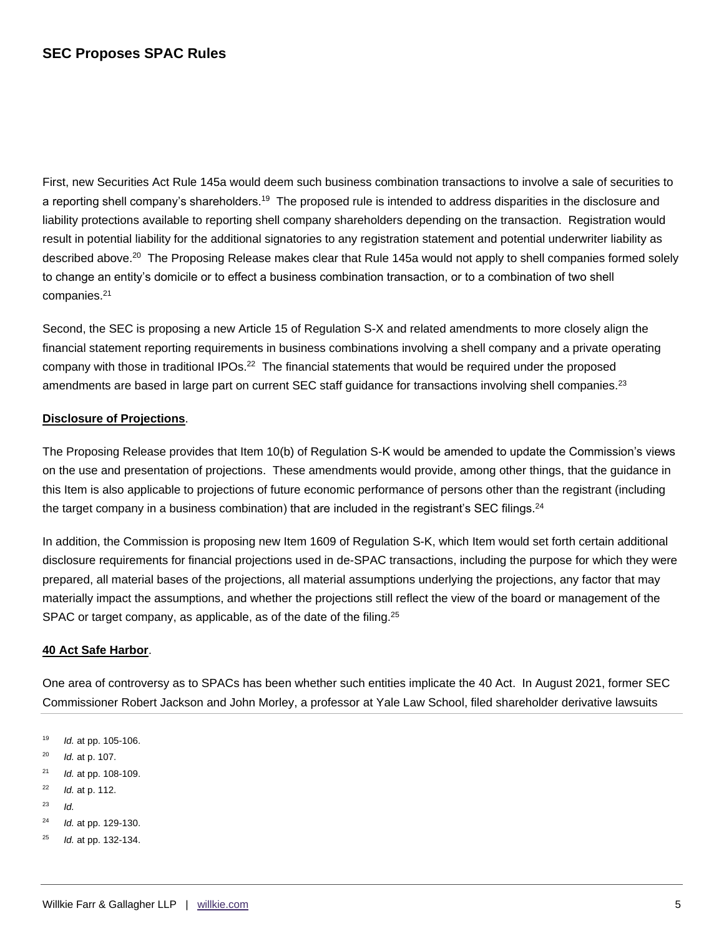# **SEC Proposes SPAC Rules**

First, new Securities Act Rule 145a would deem such business combination transactions to involve a sale of securities to a reporting shell company's shareholders.<sup>19</sup> The proposed rule is intended to address disparities in the disclosure and liability protections available to reporting shell company shareholders depending on the transaction. Registration would result in potential liability for the additional signatories to any registration statement and potential underwriter liability as described above.<sup>20</sup> The Proposing Release makes clear that Rule 145a would not apply to shell companies formed solely to change an entity's domicile or to effect a business combination transaction, or to a combination of two shell companies.<sup>21</sup>

Second, the SEC is proposing a new Article 15 of Regulation S-X and related amendments to more closely align the financial statement reporting requirements in business combinations involving a shell company and a private operating company with those in traditional IPOs.<sup>22</sup> The financial statements that would be required under the proposed amendments are based in large part on current SEC staff guidance for transactions involving shell companies.<sup>23</sup>

### **Disclosure of Projections**.

The Proposing Release provides that Item 10(b) of Regulation S-K would be amended to update the Commission's views on the use and presentation of projections. These amendments would provide, among other things, that the guidance in this Item is also applicable to projections of future economic performance of persons other than the registrant (including the target company in a business combination) that are included in the registrant's SEC filings.<sup>24</sup>

In addition, the Commission is proposing new Item 1609 of Regulation S-K, which Item would set forth certain additional disclosure requirements for financial projections used in de-SPAC transactions, including the purpose for which they were prepared, all material bases of the projections, all material assumptions underlying the projections, any factor that may materially impact the assumptions, and whether the projections still reflect the view of the board or management of the SPAC or target company, as applicable, as of the date of the filing.<sup>25</sup>

### **40 Act Safe Harbor**.

One area of controversy as to SPACs has been whether such entities implicate the 40 Act. In August 2021, former SEC Commissioner Robert Jackson and John Morley, a professor at Yale Law School, filed shareholder derivative lawsuits

- <sup>19</sup> *Id.* at pp. 105-106.
- <sup>20</sup> *Id.* at p. 107.
- <sup>21</sup> *Id.* at pp. 108-109.
- <sup>22</sup> *Id.* at p. 112.
- $23$  *Id.*
- <sup>24</sup> *Id.* at pp. 129-130.
- <sup>25</sup> *Id.* at pp. 132-134.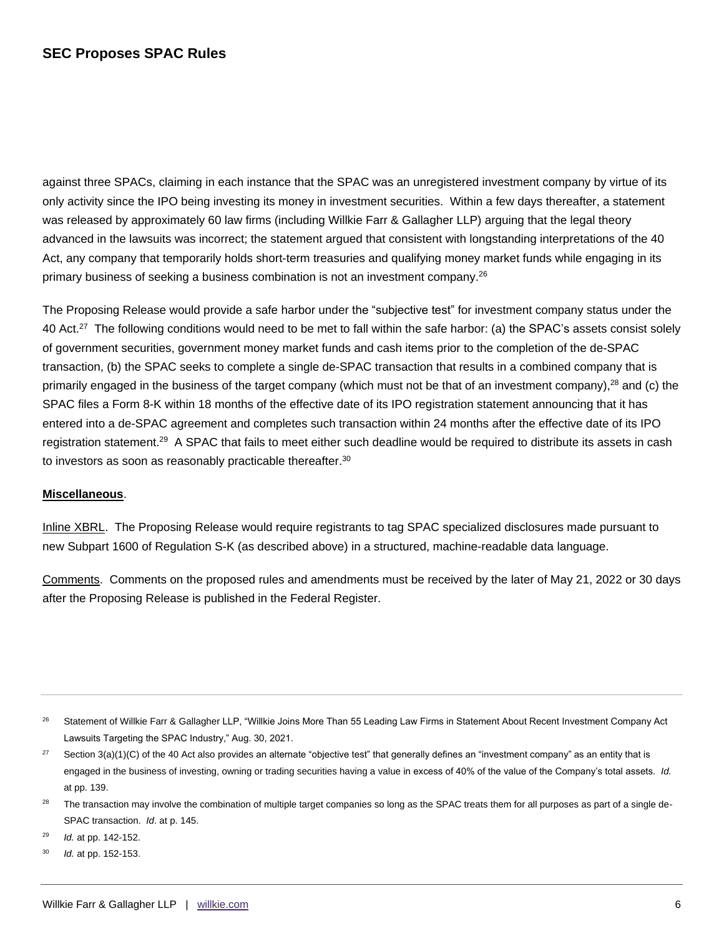# **SEC Proposes SPAC Rules**

against three SPACs, claiming in each instance that the SPAC was an unregistered investment company by virtue of its only activity since the IPO being investing its money in investment securities. Within a few days thereafter, a statement was released by approximately 60 law firms (including Willkie Farr & Gallagher LLP) arguing that the legal theory advanced in the lawsuits was incorrect; the statement argued that consistent with longstanding interpretations of the 40 Act, any company that temporarily holds short-term treasuries and qualifying money market funds while engaging in its primary business of seeking a business combination is not an investment company.<sup>26</sup>

The Proposing Release would provide a safe harbor under the "subjective test" for investment company status under the 40 Act.<sup>27</sup> The following conditions would need to be met to fall within the safe harbor: (a) the SPAC's assets consist solely of government securities, government money market funds and cash items prior to the completion of the de-SPAC transaction, (b) the SPAC seeks to complete a single de-SPAC transaction that results in a combined company that is primarily engaged in the business of the target company (which must not be that of an investment company),<sup>28</sup> and (c) the SPAC files a Form 8-K within 18 months of the effective date of its IPO registration statement announcing that it has entered into a de-SPAC agreement and completes such transaction within 24 months after the effective date of its IPO registration statement.<sup>29</sup> A SPAC that fails to meet either such deadline would be required to distribute its assets in cash to investors as soon as reasonably practicable thereafter.<sup>30</sup>

## **Miscellaneous**.

Inline XBRL. The Proposing Release would require registrants to tag SPAC specialized disclosures made pursuant to new Subpart 1600 of Regulation S-K (as described above) in a structured, machine-readable data language.

Comments. Comments on the proposed rules and amendments must be received by the later of May 21, 2022 or 30 days after the Proposing Release is published in the Federal Register.

<sup>29</sup> *Id.* at pp. 142-152.

<sup>&</sup>lt;sup>26</sup> Statement of Willkie Farr & Gallagher LLP, "Willkie Joins More Than 55 Leading Law Firms in Statement About Recent Investment Company Act Lawsuits Targeting the SPAC Industry," Aug. 30, 2021.

<sup>&</sup>lt;sup>27</sup> Section 3(a)(1)(C) of the 40 Act also provides an alternate "objective test" that generally defines an "investment company" as an entity that is engaged in the business of investing, owning or trading securities having a value in excess of 40% of the value of the Company's total assets. *Id.* at pp. 139.

The transaction may involve the combination of multiple target companies so long as the SPAC treats them for all purposes as part of a single de-SPAC transaction. *Id*. at p. 145.

<sup>30</sup> *Id.* at pp. 152-153.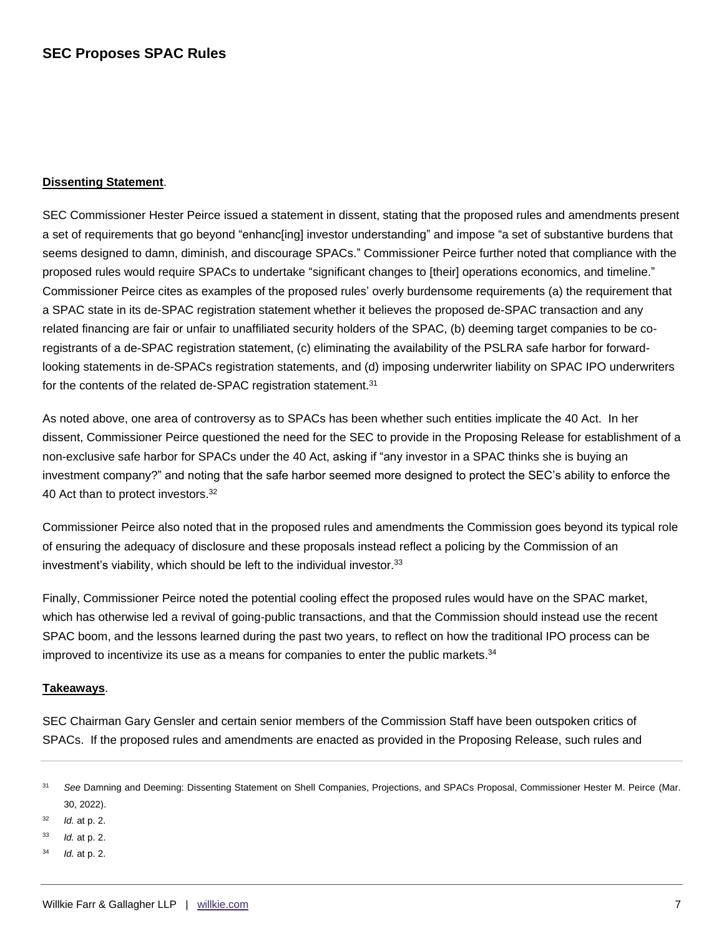## **Dissenting Statement**.

SEC Commissioner Hester Peirce issued a statement in dissent, stating that the proposed rules and amendments present a set of requirements that go beyond "enhanc[ing] investor understanding" and impose "a set of substantive burdens that seems designed to damn, diminish, and discourage SPACs." Commissioner Peirce further noted that compliance with the proposed rules would require SPACs to undertake "significant changes to [their] operations economics, and timeline." Commissioner Peirce cites as examples of the proposed rules' overly burdensome requirements (a) the requirement that a SPAC state in its de-SPAC registration statement whether it believes the proposed de-SPAC transaction and any related financing are fair or unfair to unaffiliated security holders of the SPAC, (b) deeming target companies to be coregistrants of a de-SPAC registration statement, (c) eliminating the availability of the PSLRA safe harbor for forwardlooking statements in de-SPACs registration statements, and (d) imposing underwriter liability on SPAC IPO underwriters for the contents of the related de-SPAC registration statement.<sup>31</sup>

As noted above, one area of controversy as to SPACs has been whether such entities implicate the 40 Act. In her dissent, Commissioner Peirce questioned the need for the SEC to provide in the Proposing Release for establishment of a non-exclusive safe harbor for SPACs under the 40 Act, asking if "any investor in a SPAC thinks she is buying an investment company?" and noting that the safe harbor seemed more designed to protect the SEC's ability to enforce the 40 Act than to protect investors.<sup>32</sup>

Commissioner Peirce also noted that in the proposed rules and amendments the Commission goes beyond its typical role of ensuring the adequacy of disclosure and these proposals instead reflect a policing by the Commission of an investment's viability, which should be left to the individual investor.<sup>33</sup>

Finally, Commissioner Peirce noted the potential cooling effect the proposed rules would have on the SPAC market, which has otherwise led a revival of going-public transactions, and that the Commission should instead use the recent SPAC boom, and the lessons learned during the past two years, to reflect on how the traditional IPO process can be improved to incentivize its use as a means for companies to enter the public markets. $34$ 

### **Takeaways**.

SEC Chairman Gary Gensler and certain senior members of the Commission Staff have been outspoken critics of SPACs. If the proposed rules and amendments are enacted as provided in the Proposing Release, such rules and

<sup>32</sup> *Id.* at p. 2.

<sup>31</sup> *See* Damning and Deeming: Dissenting Statement on Shell Companies, Projections, and SPACs Proposal, Commissioner Hester M. Peirce (Mar. 30, 2022).

<sup>33</sup> *Id.* at p. 2.

<sup>34</sup> *Id.* at p. 2.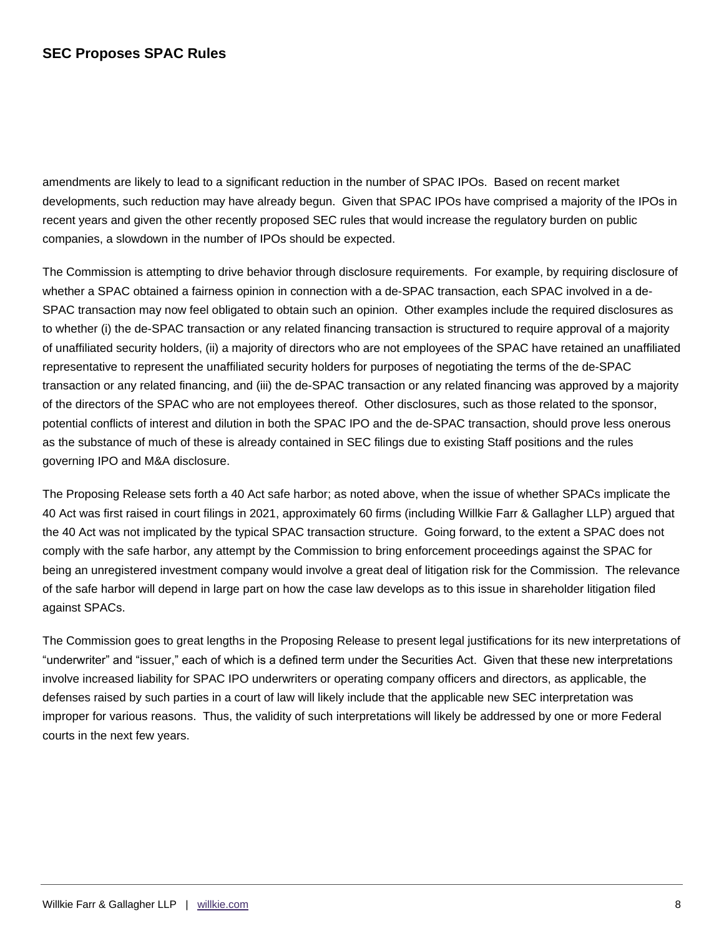# **SEC Proposes SPAC Rules**

amendments are likely to lead to a significant reduction in the number of SPAC IPOs. Based on recent market developments, such reduction may have already begun. Given that SPAC IPOs have comprised a majority of the IPOs in recent years and given the other recently proposed SEC rules that would increase the regulatory burden on public companies, a slowdown in the number of IPOs should be expected.

The Commission is attempting to drive behavior through disclosure requirements. For example, by requiring disclosure of whether a SPAC obtained a fairness opinion in connection with a de-SPAC transaction, each SPAC involved in a de-SPAC transaction may now feel obligated to obtain such an opinion. Other examples include the required disclosures as to whether (i) the de-SPAC transaction or any related financing transaction is structured to require approval of a majority of unaffiliated security holders, (ii) a majority of directors who are not employees of the SPAC have retained an unaffiliated representative to represent the unaffiliated security holders for purposes of negotiating the terms of the de-SPAC transaction or any related financing, and (iii) the de-SPAC transaction or any related financing was approved by a majority of the directors of the SPAC who are not employees thereof. Other disclosures, such as those related to the sponsor, potential conflicts of interest and dilution in both the SPAC IPO and the de-SPAC transaction, should prove less onerous as the substance of much of these is already contained in SEC filings due to existing Staff positions and the rules governing IPO and M&A disclosure.

The Proposing Release sets forth a 40 Act safe harbor; as noted above, when the issue of whether SPACs implicate the 40 Act was first raised in court filings in 2021, approximately 60 firms (including Willkie Farr & Gallagher LLP) argued that the 40 Act was not implicated by the typical SPAC transaction structure. Going forward, to the extent a SPAC does not comply with the safe harbor, any attempt by the Commission to bring enforcement proceedings against the SPAC for being an unregistered investment company would involve a great deal of litigation risk for the Commission. The relevance of the safe harbor will depend in large part on how the case law develops as to this issue in shareholder litigation filed against SPACs.

The Commission goes to great lengths in the Proposing Release to present legal justifications for its new interpretations of "underwriter" and "issuer," each of which is a defined term under the Securities Act. Given that these new interpretations involve increased liability for SPAC IPO underwriters or operating company officers and directors, as applicable, the defenses raised by such parties in a court of law will likely include that the applicable new SEC interpretation was improper for various reasons. Thus, the validity of such interpretations will likely be addressed by one or more Federal courts in the next few years.